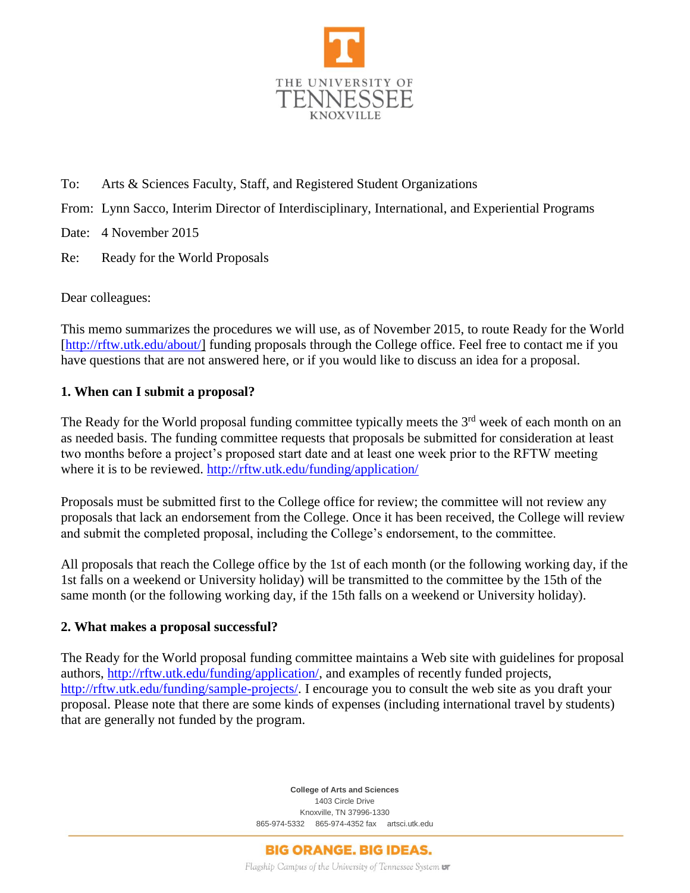

- To: Arts & Sciences Faculty, Staff, and Registered Student Organizations
- From: Lynn Sacco, Interim Director of Interdisciplinary, International, and Experiential Programs

Date: 4 November 2015

Re: Ready for the World Proposals

Dear colleagues:

This memo summarizes the procedures we will use, as of November 2015, to route Ready for the World [\[http://rftw.utk.edu/about/\]](http://rftw.utk.edu/about/) funding proposals through the College office. Feel free to contact me if you have questions that are not answered here, or if you would like to discuss an idea for a proposal.

# **1. When can I submit a proposal?**

The Ready for the World proposal funding committee typically meets the  $3<sup>rd</sup>$  week of each month on an as needed basis. The funding committee requests that proposals be submitted for consideration at least two months before a project's proposed start date and at least one week prior to the RFTW meeting where it is to be reviewed.<http://rftw.utk.edu/funding/application/>

Proposals must be submitted first to the College office for review; the committee will not review any proposals that lack an endorsement from the College. Once it has been received, the College will review and submit the completed proposal, including the College's endorsement, to the committee.

All proposals that reach the College office by the 1st of each month (or the following working day, if the 1st falls on a weekend or University holiday) will be transmitted to the committee by the 15th of the same month (or the following working day, if the 15th falls on a weekend or University holiday).

## **2. What makes a proposal successful?**

The Ready for the World proposal funding committee maintains a Web site with guidelines for proposal authors, [http://rftw.utk.edu/funding/application/,](http://rftw.utk.edu/funding/application/) and examples of recently funded projects, [http://rftw.utk.edu/funding/sample-projects/.](http://rftw.utk.edu/funding/sample-projects/) I encourage you to consult the web site as you draft your proposal. Please note that there are some kinds of expenses (including international travel by students) that are generally not funded by the program.

> **College of Arts and Sciences** 1403 Circle Drive Knoxville, TN 37996-1330 865-974-5332 865-974-4352 fax artsci.utk.edu